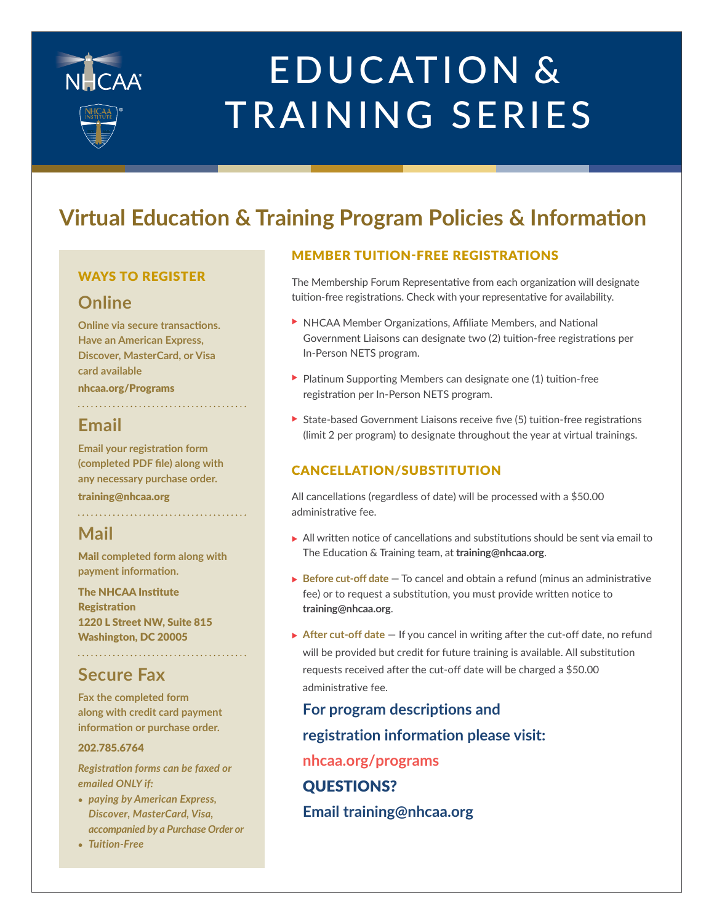# EDUCATION & TRAINING SERIES

# **Virtual Education & Training Program Policies & Information**

#### WAYS TO REGISTER

#### **Online**

NHCAA

**Online via secure transactions. Have an American Express, Discover, MasterCard, or Visa card available**

[nhcaa.org/Programs](http://nhcaa.org/VirtualPrograms)

### **Email**

**Email your registration form (completed PDF file) along with any necessary purchase order.**

[training@nhcaa.org](http://nhcaa.org/inpersonprograms)

## **Mail**

Mail **completed form along with payment information.**

The NHCAA Institute **Registration** 1220 L Street NW, Suite 815 Washington, DC 20005

#### **Secure Fax**

**Fax the completed form along with credit card payment information or purchase order.**

#### 202.785.6764

*Registration forms can be faxed or emailed ONLY if:* 

- *• paying by American Express, Discover, MasterCard, Visa, accompanied by a Purchase Order or*
- *• Tuition-Free*

#### MEMBER TUITION-FREE REGISTRATIONS

The Membership Forum Representative from each organization will designate tuition-free registrations. Check with your representative for availability.

- $\triangleright$  NHCAA Member Organizations, Affiliate Members, and National Government Liaisons can designate two (2) tuition-free registrations per In-Person NETS program.
- Platinum Supporting Members can designate one (1) tuition-free registration per In-Person NETS program.
- State-based Government Liaisons receive five  $(5)$  tuition-free registrations (limit 2 per program) to designate throughout the year at virtual trainings.

#### CANCELLATION/SUBSTITUTION

All cancellations (regardless of date) will be processed with a \$50.00 administrative fee.

- $\triangleright$  All written notice of cancellations and substitutions should be sent via email to The Education & Training team, at **[training@nhcaa.org](mailto:training%40nhcaa.org?subject=)**.
- ▶ Before cut-off date To cancel and obtain a refund (minus an administrative fee) or to request a substitution, you must provide written notice to **[training@nhcaa.org](mailto:%20training%40nhcaa.org?subject=Cancellation/Substitution)**.
- ▶ After cut-off date If you cancel in writing after the cut-off date, no refund will be provided but credit for future training is available. All substitution requests received after the cut-off date will be charged a \$50.00 administrative fee.

**For program descriptions and registration information please visit:**

**[nhcaa.org/programs](http://nhcaa.org/programs)**

QUESTIONS?

**Email [training@nhcaa.org](mailto:training%40nhcaa.org?subject=)**